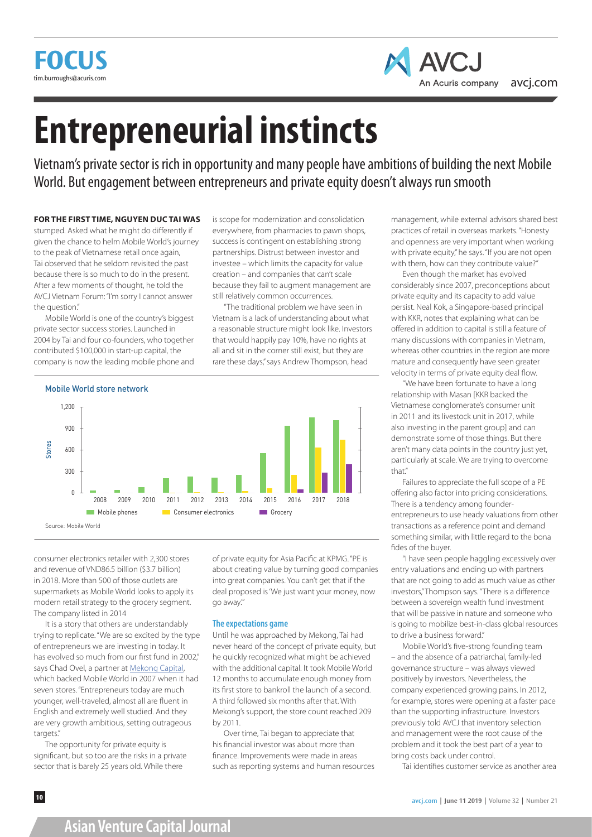



# **Entrepreneurial instincts**

Vietnam's private sector is rich in opportunity and many people have ambitions of building the next Mobile World. But engagement between entrepreneurs and private equity doesn't always run smooth

#### **FOR THE FIRST TIME, NGUYEN DUC TAI WAS**

stumped. Asked what he might do differently if given the chance to helm Mobile World's journey to the peak of Vietnamese retail once again, Tai observed that he seldom revisited the past because there is so much to do in the present. After a few moments of thought, he told the AVCJ Vietnam Forum: "I'm sorry I cannot answer the question."

Mobile World is one of the country's biggest private sector success stories. Launched in 2004 by Tai and four co-founders, who together contributed \$100,000 in start-up capital, the company is now the leading mobile phone and is scope for modernization and consolidation everywhere, from pharmacies to pawn shops, success is contingent on establishing strong partnerships. Distrust between investor and investee – which limits the capacity for value creation – and companies that can't scale because they fail to augment management are still relatively common occurrences.

"The traditional problem we have seen in Vietnam is a lack of understanding about what a reasonable structure might look like. Investors that would happily pay 10%, have no rights at all and sit in the corner still exist, but they are rare these days," says Andrew Thompson, head



consumer electronics retailer with 2,300 stores and revenue of VND86.5 billion (\$3.7 billion) in 2018. More than 500 of those outlets are supermarkets as Mobile World looks to apply its modern retail strategy to the grocery segment. The company listed in 2014

It is a story that others are understandably trying to replicate. "We are so excited by the type of entrepreneurs we are investing in today. It has evolved so much from our first fund in 2002," says Chad Ovel, a partner at **Mekong Capital**, which backed Mobile World in 2007 when it had seven stores. "Entrepreneurs today are much younger, well-traveled, almost all are fluent in English and extremely well studied. And they are very growth ambitious, setting outrageous targets."

The opportunity for private equity is significant, but so too are the risks in a private sector that is barely 25 years old. While there

of private equity for Asia Pacific at KPMG. "PE is about creating value by turning good companies into great companies. You can't get that if the deal proposed is 'We just want your money, now go away.'"

#### **The expectations game**

Until he was approached by Mekong, Tai had never heard of the concept of private equity, but he quickly recognized what might be achieved with the additional capital. It took Mobile World 12 months to accumulate enough money from its first store to bankroll the launch of a second. A third followed six months after that. With Mekong's support, the store count reached 209 by 2011.

Over time, Tai began to appreciate that his financial investor was about more than finance. Improvements were made in areas such as reporting systems and human resources management, while external advisors shared best practices of retail in overseas markets. "Honesty and openness are very important when working with private equity," he says. "If you are not open with them, how can they contribute value?"

Even though the market has evolved considerably since 2007, preconceptions about private equity and its capacity to add value persist. Neal Kok, a Singapore-based principal with KKR, notes that explaining what can be offered in addition to capital is still a feature of many discussions with companies in Vietnam, whereas other countries in the region are more mature and consequently have seen greater velocity in terms of private equity deal flow.

"We have been fortunate to have a long relationship with Masan [KKR backed the Vietnamese conglomerate's consumer unit in 2011 and its livestock unit in 2017, while also investing in the parent group] and can demonstrate some of those things. But there aren't many data points in the country just yet, particularly at scale. We are trying to overcome that." Appraisal Rights 4%

Failures to appreciate the full scope of a PE offering also factor into pricing considerations. There is a tendency among founderentrepreneurs to use heady valuations from other transactions as a reference point and demand something similar, with little regard to the bona fides of the buyer. other 1 (1991) and 1992 and 1993 and 1994 and 1994 and 1994 and 1994 and 1994 and  $\text{C}$  custom bedde of  $\alpha + \alpha$ 

"I have seen people haggling excessively over entry valuations and ending up with partners that are not going to add as much value as other investors," Thompson says. "There is a difference between a sovereign wealth fund investment that will be passive in nature and someone who is going to mobilize best-in-class global resources to drive a business forward."

Mobile World's five-strong founding team – and the absence of a patriarchal, family-led governance structure – was always viewed positively by investors. Nevertheless, the company experienced growing pains. In 2012, for example, stores were opening at a faster pace than the supporting infrastructure. Investors previously told AVCJ that inventory selection and management were the root cause of the problem and it took the best part of a year to bring costs back under control.

Tai identifies customer service as another area